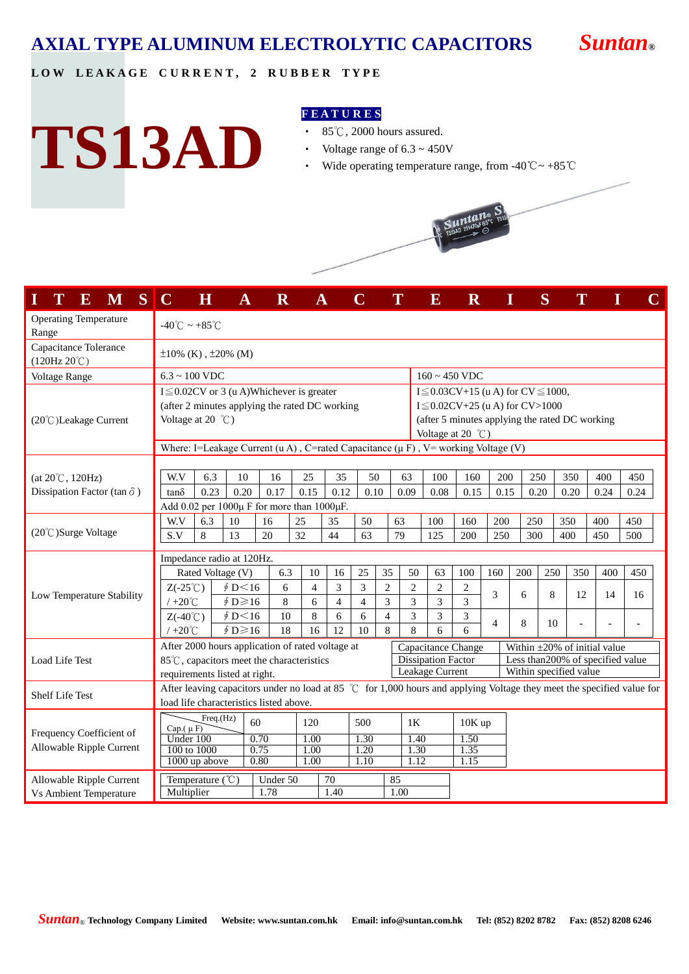## **AXIAL TYPE ALUMINUM ELECTROLYTIC CAPACITORS** *Suntan***®**

**L O W L E A K A G E C U R R E N T , 2 R U B B E R T Y P E**

## **TS13AD**

#### **F E A T U R E S**

- ‧ 85℃, 2000 hours assured.
- Voltage range of  $6.3 \sim 450V$
- ‧ Wide operating temperature range, from -40℃~ +85℃



|                                                | ${\bf E}$ | M   | $\vert S \vert$ | $\mathbf C$                        | $\bf H$                                  | $\bf A$                                 | $\overline{\mathbf{R}}$ |                                                                                        |                |                |                |                | $\overline{\mathbf{E}}$                      | $\mathbf R$  | I              | S    |                                                          |      |                                                                                                                                                                                                                                                                                                                           |                | C |
|------------------------------------------------|-----------|-----|-----------------|------------------------------------|------------------------------------------|-----------------------------------------|-------------------------|----------------------------------------------------------------------------------------|----------------|----------------|----------------|----------------|----------------------------------------------|--------------|----------------|------|----------------------------------------------------------|------|---------------------------------------------------------------------------------------------------------------------------------------------------------------------------------------------------------------------------------------------------------------------------------------------------------------------------|----------------|---|
| <b>Operating Temperature</b><br>Range          |           |     |                 | $-40^{\circ}$ C ~ +85 $^{\circ}$ C |                                          |                                         |                         |                                                                                        |                |                |                |                |                                              |              |                |      |                                                          |      |                                                                                                                                                                                                                                                                                                                           |                |   |
| Capacitance Tolerance<br>$(120Hz 20^{\circ}C)$ |           |     |                 | $\pm 10\%$ (K), $\pm 20\%$ (M)     |                                          |                                         |                         |                                                                                        |                |                |                |                |                                              |              |                |      |                                                          |      |                                                                                                                                                                                                                                                                                                                           |                |   |
| Voltage Range                                  |           |     |                 |                                    | $6.3 \sim 100$ VDC<br>$160 \sim 450$ VDC |                                         |                         |                                                                                        |                |                |                |                |                                              |              |                |      |                                                          |      |                                                                                                                                                                                                                                                                                                                           |                |   |
|                                                |           |     |                 |                                    |                                          |                                         |                         | $I \leq 0.02$ CV or 3 (u A)Whichever is greater                                        |                |                |                |                | I $\leq$ 0.03CV+15 (u A) for CV $\leq$ 1000, |              |                |      |                                                          |      |                                                                                                                                                                                                                                                                                                                           |                |   |
|                                                |           |     |                 |                                    |                                          |                                         |                         | (after 2 minutes applying the rated DC working                                         |                |                |                |                | $I \leq 0.02CV+25$ (u A) for CV>1000         |              |                |      |                                                          |      |                                                                                                                                                                                                                                                                                                                           |                |   |
| (20°C)Leakage Current                          |           |     |                 | Voltage at 20 $^{\circ}$ C)        |                                          |                                         |                         |                                                                                        |                |                |                |                |                                              |              |                |      |                                                          |      |                                                                                                                                                                                                                                                                                                                           |                |   |
|                                                |           |     |                 |                                    |                                          |                                         |                         |                                                                                        |                |                |                |                | Voltage at 20 $^{\circ}$ C)                  |              |                |      |                                                          |      |                                                                                                                                                                                                                                                                                                                           |                |   |
|                                                |           |     |                 |                                    |                                          |                                         |                         | Where: I=Leakage Current (u A), C=rated Capacitance ( $\mu$ F), V= working Voltage (V) |                |                |                |                |                                              |              |                |      |                                                          |      |                                                                                                                                                                                                                                                                                                                           |                |   |
|                                                |           |     |                 |                                    |                                          |                                         |                         |                                                                                        |                |                |                |                |                                              |              |                |      |                                                          |      |                                                                                                                                                                                                                                                                                                                           |                |   |
| $(at 20^{\circ}C, 120Hz)$                      |           |     |                 | W.V                                | 6.3                                      | 10                                      | 16                      | 25                                                                                     | 35             | 50             |                | 63             | 100                                          | 160          | 200            | 250  |                                                          | 350  |                                                                                                                                                                                                                                                                                                                           |                |   |
| Dissipation Factor (tan $\delta$ )             |           |     |                 | $tan\delta$                        | 0.23                                     | 0.20                                    | 0.17                    | 0.15                                                                                   | 0.12           | 0.10           |                | 0.09           | 0.08                                         | 0.15         | 0.15           | 0.20 |                                                          | 0.20 |                                                                                                                                                                                                                                                                                                                           |                |   |
|                                                |           |     |                 |                                    |                                          |                                         |                         | Add $0.02$ per $1000\mu$ F for more than $1000\mu$ F.                                  |                |                |                |                |                                              |              |                |      |                                                          |      |                                                                                                                                                                                                                                                                                                                           |                |   |
| (20°C)Surge Voltage                            |           | W.V | 6.3             | 10                                 | 16                                       | 25                                      | 35                      | 50                                                                                     |                | 63             | 100            | 160            | 200                                          | 250          |                |      |                                                          |      |                                                                                                                                                                                                                                                                                                                           |                |   |
|                                                |           |     |                 | S.V                                | 8                                        | 13                                      | 20                      | 32                                                                                     | 44             | 63             |                | 79             | 125                                          | 200          | 250            | 300  | 350<br>400<br>400<br>450<br>250<br>350<br>400<br>8<br>12 |      |                                                                                                                                                                                                                                                                                                                           |                |   |
|                                                |           |     |                 |                                    |                                          | Impedance radio at 120Hz.               |                         |                                                                                        |                |                |                |                |                                              |              |                |      |                                                          |      |                                                                                                                                                                                                                                                                                                                           |                |   |
|                                                |           |     |                 |                                    |                                          | Rated Voltage (V)                       | 6.3                     | 10                                                                                     | 16             | 25             | 35             | 50             | 63                                           | 100          | 160            | 200  |                                                          |      | 450                                                                                                                                                                                                                                                                                                                       |                |   |
| Low Temperature Stability                      |           |     |                 | $Z(-25^{\circ}\mathrm{C})$         |                                          | \$D<16                                  | 6                       | $\overline{4}$                                                                         | 3              | 3              | $\mathfrak{2}$ | $\mathbf{2}$   | $\mathbf{2}$                                 | $\sqrt{2}$   | 3              | 6    |                                                          |      |                                                                                                                                                                                                                                                                                                                           |                |   |
|                                                |           |     |                 | $/ +20^{\circ}C$                   |                                          | $$D \ge 16$                             | 8                       | 6                                                                                      | $\overline{4}$ | $\overline{4}$ | 3              | 3              | 3                                            | 3            |                |      |                                                          |      |                                                                                                                                                                                                                                                                                                                           |                |   |
|                                                |           |     |                 | $Z(-40^{\circ}\mathrm{C})$         |                                          | \$D<16                                  | 10                      | 8                                                                                      | 6              | 6              | $\overline{4}$ | 3              | 3                                            | 3            | $\overline{4}$ | 8    | 10                                                       |      |                                                                                                                                                                                                                                                                                                                           | $\overline{a}$ |   |
|                                                |           |     |                 | $/ +20^{\circ}$ C                  |                                          | $\oint D \ge 16$                        | 18                      | 16                                                                                     | 12             | 10             | 8              | $\overline{8}$ | 6                                            | 6            |                |      |                                                          |      |                                                                                                                                                                                                                                                                                                                           |                |   |
|                                                |           |     |                 |                                    |                                          |                                         |                         | After 2000 hours application of rated voltage at                                       |                |                |                |                | Capacitance Change                           |              |                |      |                                                          |      |                                                                                                                                                                                                                                                                                                                           |                |   |
| Load Life Test                                 |           |     |                 |                                    |                                          |                                         |                         | 85°C, capacitors meet the characteristics                                              |                |                |                |                | <b>Dissipation Factor</b>                    |              |                |      |                                                          |      | 400<br>0.24<br>14<br>$\blacksquare$                                                                                                                                                                                                                                                                                       |                |   |
|                                                |           |     |                 |                                    |                                          | requirements listed at right.           |                         |                                                                                        |                |                |                |                | Leakage Current                              |              |                |      |                                                          |      |                                                                                                                                                                                                                                                                                                                           |                |   |
| <b>Shelf Life Test</b>                         |           |     |                 |                                    |                                          |                                         |                         |                                                                                        |                |                |                |                |                                              |              |                |      |                                                          |      |                                                                                                                                                                                                                                                                                                                           |                |   |
|                                                |           |     |                 |                                    |                                          | load life characteristics listed above. |                         |                                                                                        |                |                |                |                |                                              |              |                |      |                                                          |      |                                                                                                                                                                                                                                                                                                                           |                |   |
|                                                |           |     |                 | Cap. $(\mu F)$                     | Freq.(Hz)                                | 60                                      |                         | 120                                                                                    |                | 500            |                | 1K             |                                              | 10K up       |                |      |                                                          |      |                                                                                                                                                                                                                                                                                                                           |                |   |
| Frequency Coefficient of                       |           |     |                 | Under 100                          |                                          |                                         | 0.70                    | 1.00                                                                                   |                | 1.30           |                | 1.40           |                                              | 1.50         |                |      |                                                          |      |                                                                                                                                                                                                                                                                                                                           |                |   |
| Allowable Ripple Current                       |           |     |                 | 100 to 1000                        | 1000 up above                            |                                         | 0.75<br>0.80            | 1.00<br>1.00                                                                           |                | 1.20<br>1.10   |                | 1.30<br>1.12   |                                              | 1.35<br>1.15 |                |      |                                                          |      |                                                                                                                                                                                                                                                                                                                           |                |   |
|                                                |           |     |                 |                                    |                                          |                                         |                         |                                                                                        |                |                |                |                |                                              |              |                |      |                                                          |      | (after 5 minutes applying the rated DC working<br>450<br>0.24<br>450<br>500<br>16<br>Within $\pm 20\%$ of initial value<br>Less than 200% of specified value<br>Within specified value<br>After leaving capacitors under no load at 85 $\degree$ C for 1,000 hours and applying Voltage they meet the specified value for |                |   |
| Allowable Ripple Current                       |           |     |                 |                                    | Temperature (°C)                         |                                         | Under 50                |                                                                                        | 70             |                | 85             |                |                                              |              |                |      |                                                          |      |                                                                                                                                                                                                                                                                                                                           |                |   |
| <b>Vs Ambient Temperature</b>                  |           |     |                 | Multiplier                         |                                          |                                         | 1.78                    |                                                                                        | 1.40           |                |                | 1.00           |                                              |              |                |      |                                                          |      |                                                                                                                                                                                                                                                                                                                           |                |   |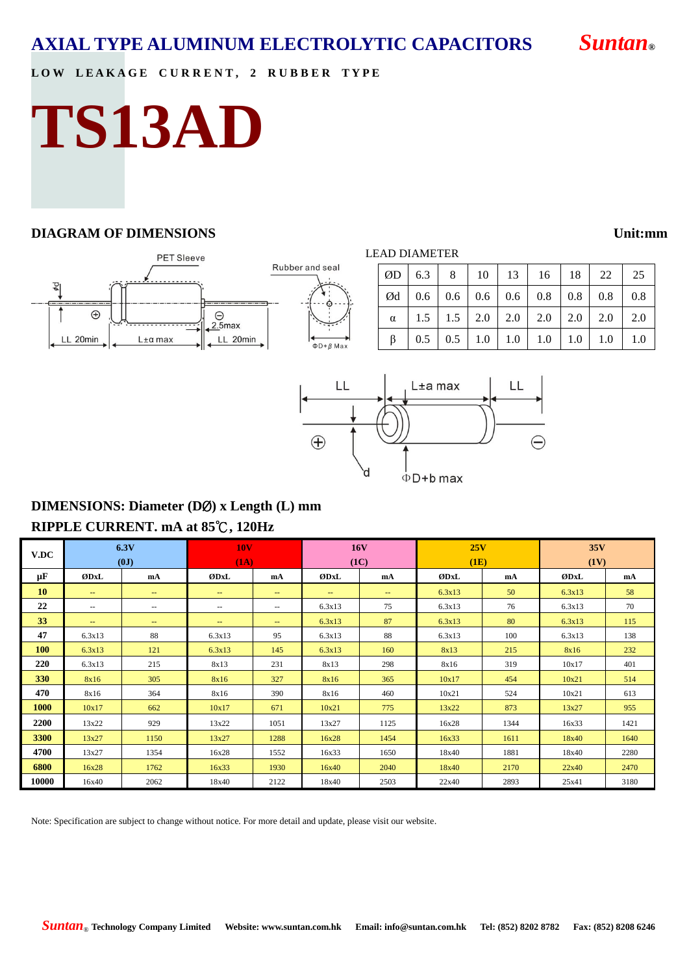### **AXIAL TYPE ALUMINUM ELECTROLYTIC CAPACITORS** *Suntan***®**

#### LOW LEAKAGE CURRENT, 2 RUBBER TYPE

# **TS13AD**

#### **DIAGRAM OF DIMENSIONS Unit:mm**

#### **PET Sleeve** Rub  $\Theta$ <br>2.5max  $\bigoplus$ LL 20min LL 20min  $L \pm \alpha$  max

|  | ber and seal |  |  |
|--|--------------|--|--|
|  |              |  |  |
|  |              |  |  |
|  |              |  |  |
|  |              |  |  |

| i,                           | Ød       | 0.6     | 0.6 | 0.6 | 0.6 | 0.8 |
|------------------------------|----------|---------|-----|-----|-----|-----|
| ľ,                           | $\alpha$ | 1.5     | 1.5 | 2.0 | 2.0 | 2.0 |
| ы<br>$\overline{\mathsf{x}}$ | β        | 0.5     | 0.5 | 1.0 | 1.0 | 1.0 |
|                              |          |         |     |     |     |     |
|                              |          | L±a max |     |     |     |     |
|                              |          |         |     |     |     |     |

#### LEAD DIAMETER

|  |  |  | $\mid$ ØD $\mid$ 6.3 $\mid$ 8 $\mid$ 10 $\mid$ 13 $\mid$ 16 $\mid$ 18 $\mid$ 22 $\mid$ 25                  |  |
|--|--|--|------------------------------------------------------------------------------------------------------------|--|
|  |  |  | $\vert$ Ød $\vert$ 0.6 $\vert$ 0.6 $\vert$ 0.6 $\vert$ 0.6 $\vert$ 0.8 $\vert$ 0.8 $\vert$ 0.8 $\vert$ 0.8 |  |
|  |  |  | $\alpha$   1.5   1.5   2.0   2.0   2.0   2.0   2.0   2.0                                                   |  |
|  |  |  | $\beta$   0.5   0.5   1.0   1.0   1.0   1.0   1.0   1.0                                                    |  |



#### **DIMENSIONS: Diameter (D**Ø**) x Length (L) mm RIPPLE CURRENT. mA at 85**℃**, 120Hz**

| V.DC       |                          | 6.3V<br>(0J)             | <b>10V</b><br>(1A)       |                   | <b>16V</b><br>(1C) |                   | 25V<br>(1E) |      | 35V<br>(1V) |      |
|------------|--------------------------|--------------------------|--------------------------|-------------------|--------------------|-------------------|-------------|------|-------------|------|
| μF         | ØDxL                     | mA                       | ØDxL                     | mA                | ØDxL               | mA                | ØDxL        | mA   | ØDxL        | mA   |
| 10         | $\sim$                   | $\sim$ $\sim$            | $\frac{1}{2}$            | $\frac{1}{2}$     | $\sim$             | $\qquad \qquad -$ | 6.3x13      | 50   | 6.3x13      | 58   |
| 22         | $\overline{\phantom{m}}$ | $\overline{\phantom{m}}$ | $\overline{\phantom{m}}$ | $\sim$ $-$        | 6.3x13             | 75                | 6.3x13      | 76   | 6.3x13      | 70   |
| 33         | $\qquad \qquad -$        | $\overline{\phantom{m}}$ | $\qquad \qquad -$        | $\qquad \qquad -$ | 6.3x13             | 87                | 6.3x13      | 80   | 6.3x13      | 115  |
| 47         | 6.3x13                   | 88                       | 6.3x13                   | 95                | 6.3x13             | 88                | 6.3x13      | 100  | 6.3x13      | 138  |
| <b>100</b> | 6.3x13                   | 121                      | 6.3x13                   | 145               | 6.3x13             | 160               | 8x13        | 215  | 8x16        | 232  |
| 220        | 6.3x13                   | 215                      | 8x13                     | 231               | 8x13               | 298               | 8x16        | 319  | 10x17       | 401  |
| 330        | 8x16                     | 305                      | 8x16                     | 327               | 8x16               | 365               | 10x17       | 454  | 10x21       | 514  |
| 470        | 8x16                     | 364                      | 8x16                     | 390               | 8x16               | 460               | 10x21       | 524  | 10x21       | 613  |
| 1000       | 10x17                    | 662                      | 10x17                    | 671               | 10x21              | 775               | 13x22       | 873  | 13x27       | 955  |
| 2200       | 13x22                    | 929                      | 13x22                    | 1051              | 13x27              | 1125              | 16x28       | 1344 | 16x33       | 1421 |
| 3300       | 13x27                    | 1150                     | 13x27                    | 1288              | 16x28              | 1454              | 16x33       | 1611 | 18x40       | 1640 |
| 4700       | 13x27                    | 1354                     | 16x28                    | 1552              | 16x33              | 1650              | 18x40       | 1881 | 18x40       | 2280 |
| 6800       | 16x28                    | 1762                     | 16x33                    | 1930              | 16x40              | 2040              | 18x40       | 2170 | 22x40       | 2470 |
| 10000      | 16x40                    | 2062                     | 18x40                    | 2122              | 18x40              | 2503              | 22x40       | 2893 | 25x41       | 3180 |

Note: Specification are subject to change without notice. For more detail and update, please visit our website.

*Suntan*® **Technology Company Limited Website: www.suntan.com.hk Email: info@suntan.com.hk Tel: (852) 8202 8782 Fax: (852) 8208 6246**